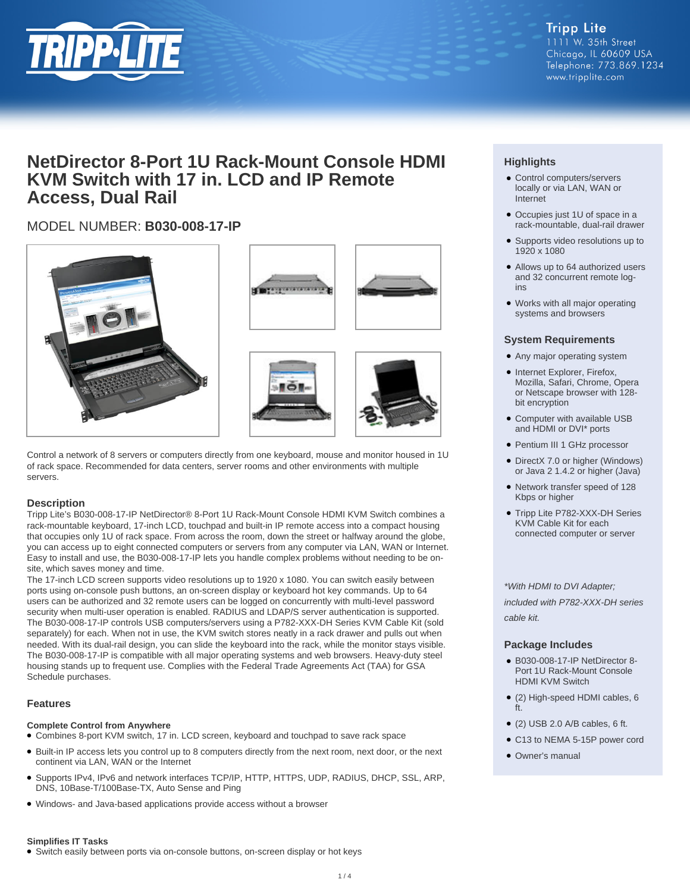

## **NetDirector 8-Port 1U Rack-Mount Console HDMI KVM Switch with 17 in. LCD and IP Remote Access, Dual Rail**

## MODEL NUMBER: **B030-008-17-IP**



Control a network of 8 servers or computers directly from one keyboard, mouse and monitor housed in 1U of rack space. Recommended for data centers, server rooms and other environments with multiple servers.

## **Description**

Tripp Lite's B030-008-17-IP NetDirector® 8-Port 1U Rack-Mount Console HDMI KVM Switch combines a rack-mountable keyboard, 17-inch LCD, touchpad and built-in IP remote access into a compact housing that occupies only 1U of rack space. From across the room, down the street or halfway around the globe, you can access up to eight connected computers or servers from any computer via LAN, WAN or Internet. Easy to install and use, the B030-008-17-IP lets you handle complex problems without needing to be onsite, which saves money and time.

The 17-inch LCD screen supports video resolutions up to 1920 x 1080. You can switch easily between ports using on-console push buttons, an on-screen display or keyboard hot key commands. Up to 64 users can be authorized and 32 remote users can be logged on concurrently with multi-level password security when multi-user operation is enabled. RADIUS and LDAP/S server authentication is supported. The B030-008-17-IP controls USB computers/servers using a P782-XXX-DH Series KVM Cable Kit (sold separately) for each. When not in use, the KVM switch stores neatly in a rack drawer and pulls out when needed. With its dual-rail design, you can slide the keyboard into the rack, while the monitor stays visible. The B030-008-17-IP is compatible with all major operating systems and web browsers. Heavy-duty steel housing stands up to frequent use. Complies with the Federal Trade Agreements Act (TAA) for GSA Schedule purchases.

## **Features**

## **Complete Control from Anywhere**

● Combines 8-port KVM switch, 17 in. LCD screen, keyboard and touchpad to save rack space

- Built-in IP access lets you control up to 8 computers directly from the next room, next door, or the next continent via LAN, WAN or the Internet
- Supports IPv4, IPv6 and network interfaces TCP/IP, HTTP, HTTPS, UDP, RADIUS, DHCP, SSL, ARP, DNS, 10Base-T/100Base-TX, Auto Sense and Ping
- Windows- and Java-based applications provide access without a browser

## **Highlights**

- Control computers/servers locally or via LAN, WAN or Internet
- Occupies just 1U of space in a rack-mountable, dual-rail drawer
- Supports video resolutions up to 1920 x 1080
- Allows up to 64 authorized users and 32 concurrent remote logins
- Works with all major operating systems and browsers

### **System Requirements**

- Any major operating system
- Internet Explorer, Firefox, Mozilla, Safari, Chrome, Opera or Netscape browser with 128 bit encryption
- Computer with available USB and HDMI or DVI\* ports
- Pentium III 1 GHz processor
- DirectX 7.0 or higher (Windows) or Java 2 1.4.2 or higher (Java)
- Network transfer speed of 128 Kbps or higher
- Tripp Lite P782-XXX-DH Series KVM Cable Kit for each connected computer or server

\*With HDMI to DVI Adapter; included with P782-XXX-DH series cable kit.

## **Package Includes**

- B030-008-17-IP NetDirector 8- Port 1U Rack-Mount Console HDMI KVM Switch
- (2) High-speed HDMI cables, 6 ft.
- $\bullet$  (2) USB 2.0 A/B cables, 6 ft.
- C13 to NEMA 5-15P power cord
- Owner's manual

#### **Simplifies IT Tasks**

● Switch easily between ports via on-console buttons, on-screen display or hot keys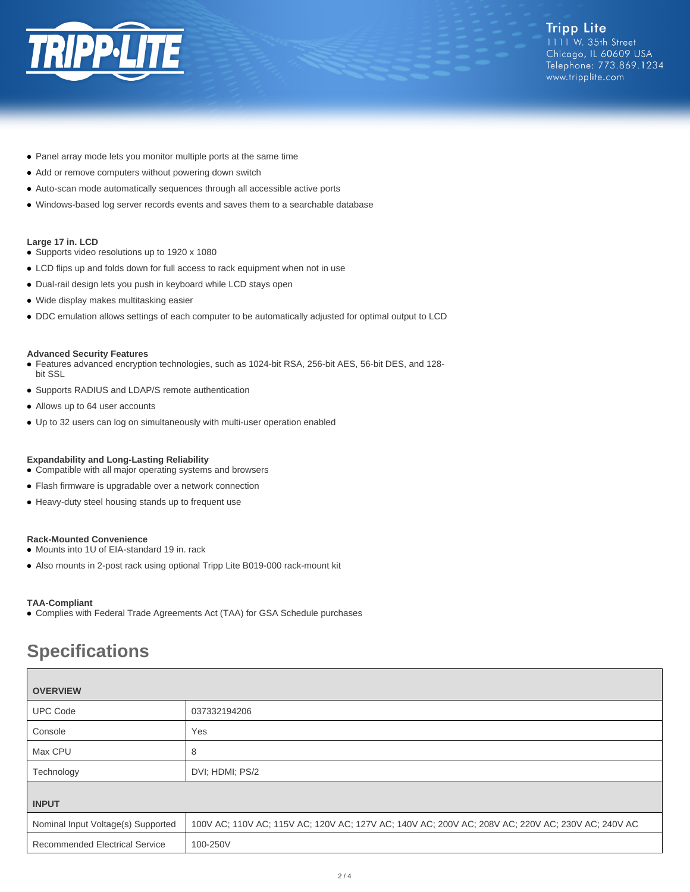

- Panel array mode lets you monitor multiple ports at the same time
- Add or remove computers without powering down switch
- Auto-scan mode automatically sequences through all accessible active ports
- Windows-based log server records events and saves them to a searchable database

#### **Large 17 in. LCD**

- Supports video resolutions up to 1920 x 1080
- LCD flips up and folds down for full access to rack equipment when not in use
- Dual-rail design lets you push in keyboard while LCD stays open
- Wide display makes multitasking easier
- DDC emulation allows settings of each computer to be automatically adjusted for optimal output to LCD

#### **Advanced Security Features**

- Features advanced encryption technologies, such as 1024-bit RSA, 256-bit AES, 56-bit DES, and 128bit SSL
- Supports RADIUS and LDAP/S remote authentication
- Allows up to 64 user accounts
- Up to 32 users can log on simultaneously with multi-user operation enabled

#### **Expandability and Long-Lasting Reliability**

- Compatible with all major operating systems and browsers
- Flash firmware is upgradable over a network connection
- Heavy-duty steel housing stands up to frequent use

#### **Rack-Mounted Convenience**

- Mounts into 1U of EIA-standard 19 in. rack
- Also mounts in 2-post rack using optional Tripp Lite B019-000 rack-mount kit

#### **TAA-Compliant**

● Complies with Federal Trade Agreements Act (TAA) for GSA Schedule purchases

# **Specifications**

| <b>OVERVIEW</b>                       |                                                                                                   |  |
|---------------------------------------|---------------------------------------------------------------------------------------------------|--|
| <b>UPC Code</b>                       | 037332194206                                                                                      |  |
| Console                               | Yes                                                                                               |  |
| Max CPU                               | 8                                                                                                 |  |
| Technology                            | DVI; HDMI; PS/2                                                                                   |  |
| <b>INPUT</b>                          |                                                                                                   |  |
| Nominal Input Voltage(s) Supported    | 100V AC; 110V AC; 115V AC; 120V AC; 127V AC; 140V AC; 200V AC; 208V AC; 220V AC; 230V AC; 240V AC |  |
| <b>Recommended Electrical Service</b> | 100-250V                                                                                          |  |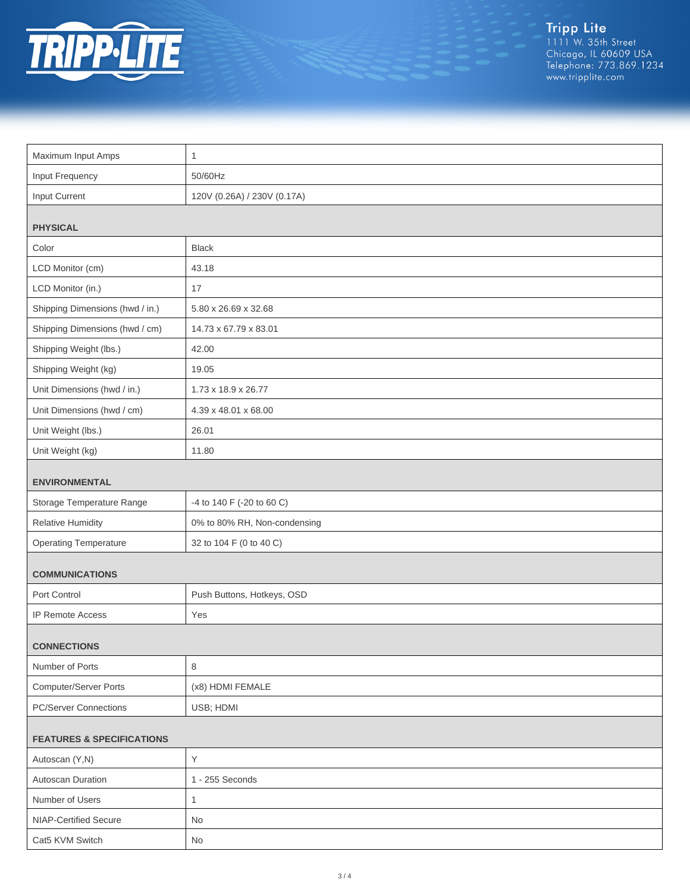

Tripp Lite<br>1111 W. 35th Street<br>Chicago, IL 60609 USA<br>Telephone: 773.869.1234<br>www.tripplite.com

| Maximum Input Amps                   | 1                            |  |
|--------------------------------------|------------------------------|--|
| Input Frequency                      | 50/60Hz                      |  |
| Input Current                        | 120V (0.26A) / 230V (0.17A)  |  |
| <b>PHYSICAL</b>                      |                              |  |
| Color                                | <b>Black</b>                 |  |
| LCD Monitor (cm)                     | 43.18                        |  |
| LCD Monitor (in.)                    | 17                           |  |
| Shipping Dimensions (hwd / in.)      | 5.80 x 26.69 x 32.68         |  |
| Shipping Dimensions (hwd / cm)       | 14.73 x 67.79 x 83.01        |  |
| Shipping Weight (lbs.)               | 42.00                        |  |
| Shipping Weight (kg)                 | 19.05                        |  |
| Unit Dimensions (hwd / in.)          | 1.73 x 18.9 x 26.77          |  |
| Unit Dimensions (hwd / cm)           | 4.39 x 48.01 x 68.00         |  |
| Unit Weight (lbs.)                   | 26.01                        |  |
| Unit Weight (kg)                     | 11.80                        |  |
| <b>ENVIRONMENTAL</b>                 |                              |  |
| Storage Temperature Range            | -4 to 140 F (-20 to 60 C)    |  |
| <b>Relative Humidity</b>             | 0% to 80% RH, Non-condensing |  |
| <b>Operating Temperature</b>         | 32 to 104 F (0 to 40 C)      |  |
| <b>COMMUNICATIONS</b>                |                              |  |
| Port Control                         | Push Buttons, Hotkeys, OSD   |  |
| <b>IP Remote Access</b>              | Yes                          |  |
| <b>CONNECTIONS</b>                   |                              |  |
| Number of Ports                      | 8                            |  |
| Computer/Server Ports                | (x8) HDMI FEMALE             |  |
| <b>PC/Server Connections</b>         | USB; HDMI                    |  |
| <b>FEATURES &amp; SPECIFICATIONS</b> |                              |  |
| Autoscan (Y,N)                       | Y                            |  |
| Autoscan Duration                    | 1 - 255 Seconds              |  |
| Number of Users                      | $\mathbf{1}$                 |  |
| NIAP-Certified Secure                | <b>No</b>                    |  |
| Cat5 KVM Switch                      | No                           |  |